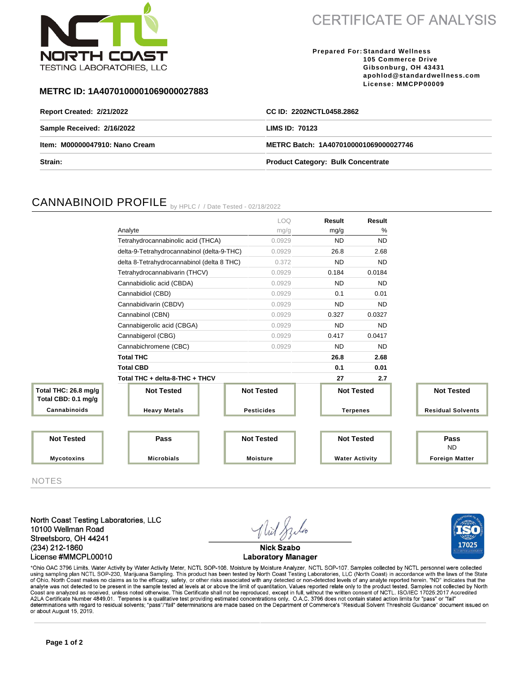

**CERTIFICATE OF ANALYSIS** 

**Prepared For: Standard Wellness 105 Commerce Drive Gibsonburg, OH 43431 apohlod@standardwellness.com License: MMCPP00009**

### **METRC ID: 1A4070100001069000027883**

| <b>Report Created: 2/21/2022</b> | CC ID: 2202NCTL0458.2862                  |  |  |  |
|----------------------------------|-------------------------------------------|--|--|--|
| Sample Received: 2/16/2022       | <b>LIMS ID: 70123</b>                     |  |  |  |
| Item: M00000047910: Nano Cream   | METRC Batch: 1A4070100001069000027746     |  |  |  |
| <b>Strain:</b>                   | <b>Product Category: Bulk Concentrate</b> |  |  |  |

# CANNABINOID PROFILE by HPLC / / Date Tested - 02/18/2022

|                                             |                                            |                   | LOQ.            | <b>Result</b>         | Result    |                          |
|---------------------------------------------|--------------------------------------------|-------------------|-----------------|-----------------------|-----------|--------------------------|
|                                             | Analyte                                    |                   | mg/g            | mg/g                  | %         |                          |
|                                             | Tetrahydrocannabinolic acid (THCA)         |                   | 0.0929          | <b>ND</b>             | <b>ND</b> |                          |
|                                             | delta-9-Tetrahydrocannabinol (delta-9-THC) |                   | 0.0929          | 26.8                  | 2.68      |                          |
|                                             | delta 8-Tetrahydrocannabinol (delta 8 THC) |                   | 0.372           | <b>ND</b>             | <b>ND</b> |                          |
|                                             | Tetrahydrocannabivarin (THCV)              |                   | 0.0929          | 0.184                 | 0.0184    |                          |
|                                             | Cannabidiolic acid (CBDA)                  |                   | 0.0929          | <b>ND</b>             | <b>ND</b> |                          |
|                                             | Cannabidiol (CBD)                          |                   | 0.0929          | 0.1                   | 0.01      |                          |
|                                             | Cannabidivarin (CBDV)                      |                   | 0.0929          | <b>ND</b>             | <b>ND</b> |                          |
|                                             | Cannabinol (CBN)                           |                   | 0.0929          | 0.327                 | 0.0327    |                          |
|                                             | Cannabigerolic acid (CBGA)                 |                   | 0.0929          | <b>ND</b>             | <b>ND</b> |                          |
|                                             | Cannabigerol (CBG)                         |                   | 0.0929          | 0.417                 | 0.0417    |                          |
|                                             | Cannabichromene (CBC)                      |                   | 0.0929          | <b>ND</b>             | <b>ND</b> |                          |
|                                             | <b>Total THC</b>                           |                   |                 | 26.8                  | 2.68      |                          |
|                                             | <b>Total CBD</b>                           |                   |                 | 0.1                   | 0.01      |                          |
| Total THC + delta-8-THC + THCV              |                                            |                   |                 | 27                    | 2.7       |                          |
| Total THC: 26.8 mg/g<br>Total CBD: 0.1 mg/g | <b>Not Tested</b>                          | <b>Not Tested</b> |                 | <b>Not Tested</b>     |           | <b>Not Tested</b>        |
| Cannabinoids                                | <b>Heavy Metals</b>                        | <b>Pesticides</b> |                 | <b>Terpenes</b>       |           | <b>Residual Solvents</b> |
|                                             |                                            |                   |                 |                       |           |                          |
| <b>Not Tested</b>                           | Pass                                       | <b>Not Tested</b> |                 | <b>Not Tested</b>     |           | Pass<br><b>ND</b>        |
| <b>Mycotoxins</b>                           | <b>Microbials</b>                          |                   | <b>Moisture</b> | <b>Water Activity</b> |           | <b>Foreign Matter</b>    |

NOTES

North Coast Testing Laboratories, LLC 10100 Wellman Road Streetsboro, OH 44241 (234) 212-1860 License #MMCPL00010



17025

**Laboratory Manager** 

\*Ohio OAC 3796 Limits. Water Activity by Water Activity Meter, NCTL SOP-108. Moisture by Moisture Analyzer, NCTL SOP-107. Samples collected by NCTL personnel were collected using sampling plan NCTL SOP-230, Marijuana Sampling. This product has been tested by North Coast Testing Laboratories, LLC (North Coast) in accordance with the laws of the State<br>of Ohio. North Coast makes no claims as to Coast are analyzed as received, unless noted otherwise. This Certificate shall not be reproduced, except in full, without the written consent of NCTL. ISO/IEC 17025:2017 Accredited<br>A2LA Certificate Number 4849.01. Terpenes determinations with regard to residual solvents; "pass"/"fail" determinations are made based on the Department of Commerce's "Residual Solvent Threshold Guidance" document issued on or about August 15, 2019.